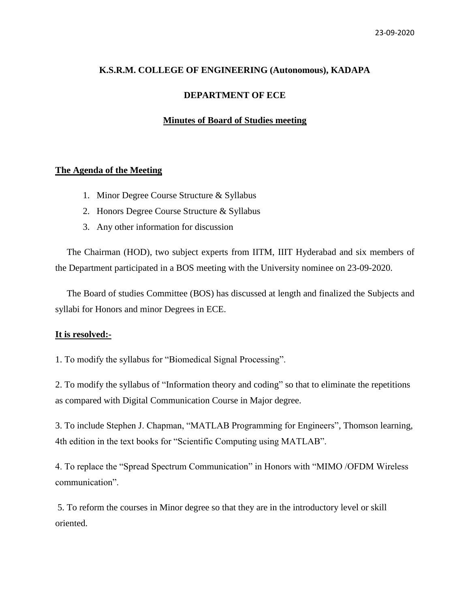# **K.S.R.M. COLLEGE OF ENGINEERING (Autonomous), KADAPA**

#### **DEPARTMENT OF ECE**

# **Minutes of Board of Studies meeting**

# **The Agenda of the Meeting**

- 1. Minor Degree Course Structure & Syllabus
- 2. Honors Degree Course Structure & Syllabus
- 3. Any other information for discussion

 The Chairman (HOD), two subject experts from IITM, IIIT Hyderabad and six members of the Department participated in a BOS meeting with the University nominee on 23-09-2020.

 The Board of studies Committee (BOS) has discussed at length and finalized the Subjects and syllabi for Honors and minor Degrees in ECE.

# **It is resolved:-**

1. To modify the syllabus for "Biomedical Signal Processing".

2. To modify the syllabus of "Information theory and coding" so that to eliminate the repetitions as compared with Digital Communication Course in Major degree.

3. To include Stephen J. Chapman, "MATLAB Programming for Engineers", Thomson learning, 4th edition in the text books for "Scientific Computing using MATLAB".

4. To replace the "Spread Spectrum Communication" in Honors with "MIMO /OFDM Wireless communication".

5. To reform the courses in Minor degree so that they are in the introductory level or skill oriented.